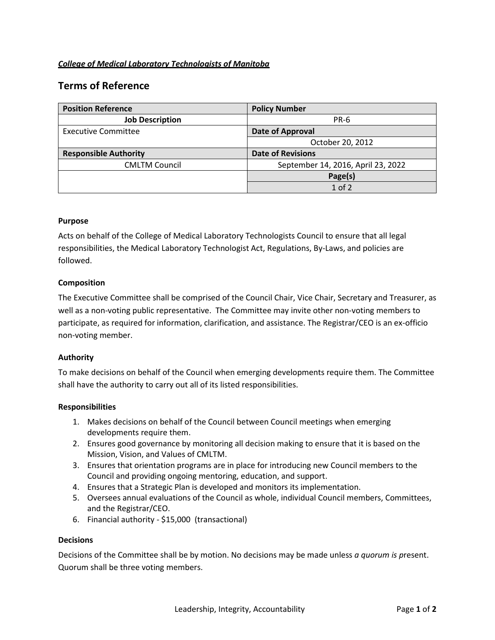## *College of Medical Laboratory Technologists of Manitoba*

# **Terms of Reference**

| <b>Position Reference</b>    | <b>Policy Number</b>               |
|------------------------------|------------------------------------|
| <b>Job Description</b>       | <b>PR-6</b>                        |
| <b>Executive Committee</b>   | Date of Approval                   |
|                              | October 20, 2012                   |
| <b>Responsible Authority</b> | <b>Date of Revisions</b>           |
| <b>CMLTM Council</b>         | September 14, 2016, April 23, 2022 |
|                              | Page(s)                            |
|                              | $1$ of $2$                         |

## **Purpose**

Acts on behalf of the College of Medical Laboratory Technologists Council to ensure that all legal responsibilities, the Medical Laboratory Technologist Act, Regulations, By-Laws, and policies are followed.

#### **Composition**

The Executive Committee shall be comprised of the Council Chair, Vice Chair, Secretary and Treasurer, as well as a non-voting public representative. The Committee may invite other non-voting members to participate, as required for information, clarification, and assistance. The Registrar/CEO is an ex-officio non-voting member.

## **Authority**

To make decisions on behalf of the Council when emerging developments require them. The Committee shall have the authority to carry out all of its listed responsibilities.

#### **Responsibilities**

- 1. Makes decisions on behalf of the Council between Council meetings when emerging developments require them.
- 2. Ensures good governance by monitoring all decision making to ensure that it is based on the Mission, Vision, and Values of CMLTM.
- 3. Ensures that orientation programs are in place for introducing new Council members to the Council and providing ongoing mentoring, education, and support.
- 4. Ensures that a Strategic Plan is developed and monitors its implementation.
- 5. Oversees annual evaluations of the Council as whole, individual Council members, Committees, and the Registrar/CEO.
- 6. Financial authority \$15,000 (transactional)

#### **Decisions**

Decisions of the Committee shall be by motion. No decisions may be made unless *a quorum is p*resent. Quorum shall be three voting members.